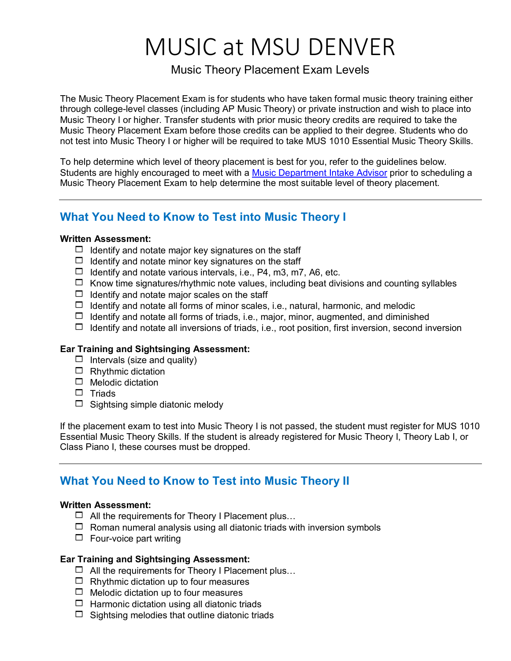# MUSIC at MSU DENVER

### Music Theory Placement Exam Levels

The Music Theory Placement Exam is for students who have taken formal music theory training either through college-level classes (including AP Music Theory) or private instruction and wish to place into Music Theory I or higher. Transfer students with prior music theory credits are required to take the Music Theory Placement Exam before those credits can be applied to their degree. Students who do not test into Music Theory I or higher will be required to take MUS 1010 Essential Music Theory Skills.

To help determine which level of theory placement is best for you, refer to the guidelines below. Students are highly encouraged to meet with a [Music Department Intake Advisor](https://outlook.office365.com/owa/calendar/MSUDenverArtMusicandTheatreAdvising@msudenver.onmicrosoft.com/bookings/) prior to scheduling a Music Theory Placement Exam to help determine the most suitable level of theory placement.

### **What You Need to Know to Test into Music Theory I**

#### **Written Assessment:**

- $\Box$  Identify and notate major key signatures on the staff
- $\Box$  Identify and notate minor key signatures on the staff
- $\Box$  Identify and notate various intervals, i.e., P4, m3, m7, A6, etc.
- $\Box$  Know time signatures/rhythmic note values, including beat divisions and counting syllables
- $\Box$  Identify and notate major scales on the staff
- $\Box$  Identify and notate all forms of minor scales, i.e., natural, harmonic, and melodic
- $\Box$  Identify and notate all forms of triads, i.e., major, minor, augmented, and diminished
- $\Box$  Identify and notate all inversions of triads, i.e., root position, first inversion, second inversion

### **Ear Training and Sightsinging Assessment:**

- $\Box$  Intervals (size and quality)
- $\Box$  Rhythmic dictation
- $\Box$  Melodic dictation
- $\square$  Triads
- $\Box$  Sightsing simple diatonic melody

If the placement exam to test into Music Theory I is not passed, the student must register for MUS 1010 Essential Music Theory Skills. If the student is already registered for Music Theory I, Theory Lab I, or Class Piano I, these courses must be dropped.

### **What You Need to Know to Test into Music Theory II**

#### **Written Assessment:**

- $\Box$  All the requirements for Theory I Placement plus...
- $\Box$  Roman numeral analysis using all diatonic triads with inversion symbols
- $\Box$  Four-voice part writing

### **Ear Training and Sightsinging Assessment:**

- $\Box$  All the requirements for Theory I Placement plus...
- $\Box$  Rhythmic dictation up to four measures
- $\Box$  Melodic dictation up to four measures
- $\Box$  Harmonic dictation using all diatonic triads
- $\Box$  Sightsing melodies that outline diatonic triads